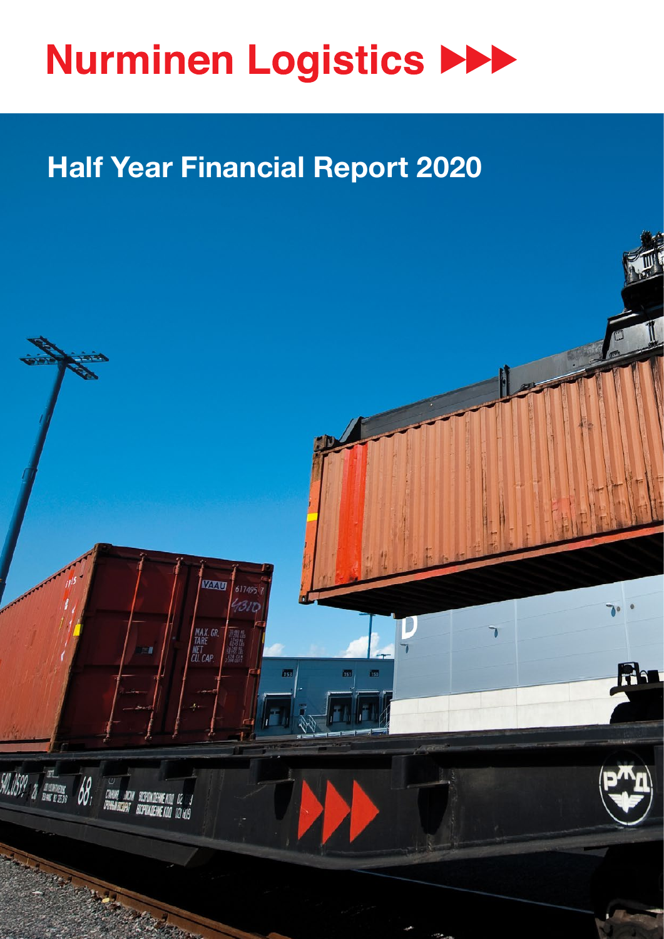

# **Half Year Financial Report 2020**

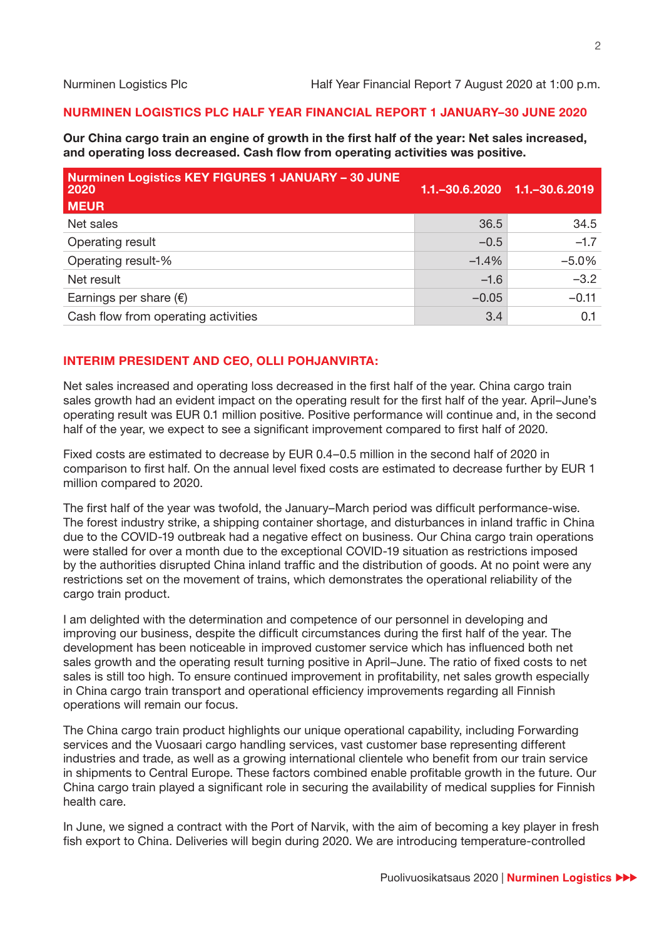#### **NURMINEN LOGISTICS PLC HALF YEAR FINANCIAL REPORT 1 JANUARY–30 JUNE 2020**

**Our China cargo train an engine of growth in the first half of the year: Net sales increased, and operating loss decreased. Cash flow from operating activities was positive.**

| <b>Nurminen Logistics KEY FIGURES 1 JANUARY - 30 JUNE</b><br>2020<br><b>MEUR</b> | $1.1 - 30.6.2020$ | 1.1. - 30.6.2019 |
|----------------------------------------------------------------------------------|-------------------|------------------|
| Net sales                                                                        | 36.5              | 34.5             |
| Operating result                                                                 | $-0.5$            | $-1.7$           |
| Operating result-%                                                               | $-1.4%$           | $-5.0%$          |
| Net result                                                                       | $-1.6$            | $-3.2$           |
| Earnings per share $(\epsilon)$                                                  | $-0.05$           | $-0.11$          |
| Cash flow from operating activities                                              | 3.4               | 0.1              |

## **INTERIM PRESIDENT AND CEO, OLLI POHJANVIRTA:**

Net sales increased and operating loss decreased in the first half of the year. China cargo train sales growth had an evident impact on the operating result for the first half of the year. April–June's operating result was EUR 0.1 million positive. Positive performance will continue and, in the second half of the year, we expect to see a significant improvement compared to first half of 2020.

Fixed costs are estimated to decrease by EUR 0.4–0.5 million in the second half of 2020 in comparison to first half. On the annual level fixed costs are estimated to decrease further by EUR 1 million compared to 2020.

The first half of the year was twofold, the January–March period was difficult performance-wise. The forest industry strike, a shipping container shortage, and disturbances in inland traffic in China due to the COVID-19 outbreak had a negative effect on business. Our China cargo train operations were stalled for over a month due to the exceptional COVID-19 situation as restrictions imposed by the authorities disrupted China inland traffic and the distribution of goods. At no point were any restrictions set on the movement of trains, which demonstrates the operational reliability of the cargo train product.

I am delighted with the determination and competence of our personnel in developing and improving our business, despite the difficult circumstances during the first half of the year. The development has been noticeable in improved customer service which has influenced both net sales growth and the operating result turning positive in April–June. The ratio of fixed costs to net sales is still too high. To ensure continued improvement in profitability, net sales growth especially in China cargo train transport and operational efficiency improvements regarding all Finnish operations will remain our focus.

The China cargo train product highlights our unique operational capability, including Forwarding services and the Vuosaari cargo handling services, vast customer base representing different industries and trade, as well as a growing international clientele who benefit from our train service in shipments to Central Europe. These factors combined enable profitable growth in the future. Our China cargo train played a significant role in securing the availability of medical supplies for Finnish health care.

In June, we signed a contract with the Port of Narvik, with the aim of becoming a key player in fresh fish export to China. Deliveries will begin during 2020. We are introducing temperature-controlled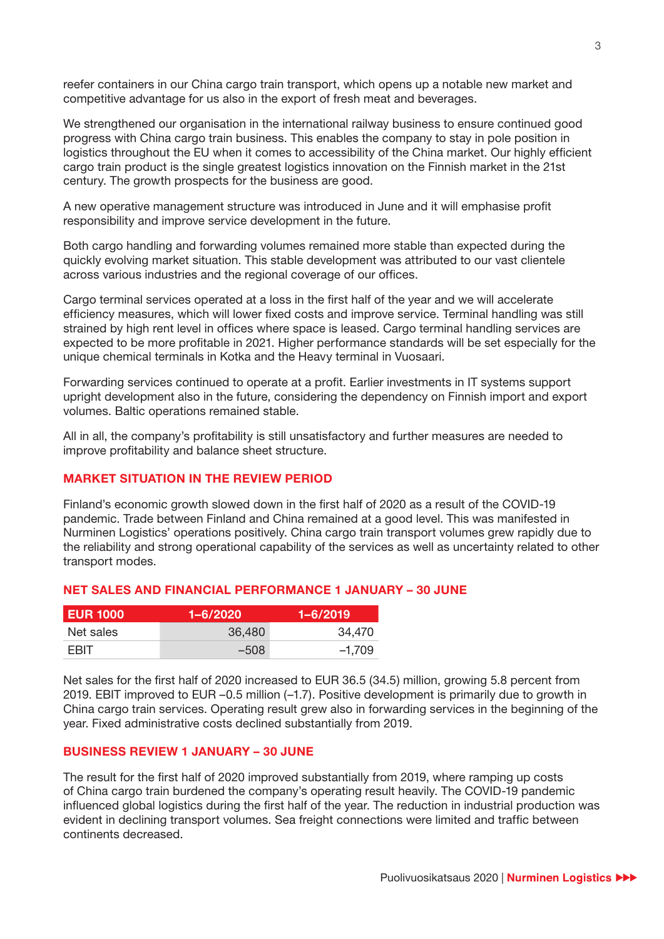reefer containers in our China cargo train transport, which opens up a notable new market and competitive advantage for us also in the export of fresh meat and beverages.

We strengthened our organisation in the international railway business to ensure continued good progress with China cargo train business. This enables the company to stay in pole position in logistics throughout the EU when it comes to accessibility of the China market. Our highly efficient cargo train product is the single greatest logistics innovation on the Finnish market in the 21st century. The growth prospects for the business are good.

A new operative management structure was introduced in June and it will emphasise profit responsibility and improve service development in the future.

Both cargo handling and forwarding volumes remained more stable than expected during the quickly evolving market situation. This stable development was attributed to our vast clientele across various industries and the regional coverage of our offices.

Cargo terminal services operated at a loss in the first half of the year and we will accelerate efficiency measures, which will lower fixed costs and improve service. Terminal handling was still strained by high rent level in offices where space is leased. Cargo terminal handling services are expected to be more profitable in 2021. Higher performance standards will be set especially for the unique chemical terminals in Kotka and the Heavy terminal in Vuosaari.

Forwarding services continued to operate at a profit. Earlier investments in IT systems support upright development also in the future, considering the dependency on Finnish import and export volumes. Baltic operations remained stable.

All in all, the company's profitability is still unsatisfactory and further measures are needed to improve profitability and balance sheet structure.

#### **MARKET SITUATION IN THE REVIEW PERIOD**

Finland's economic growth slowed down in the first half of 2020 as a result of the COVID-19 pandemic. Trade between Finland and China remained at a good level. This was manifested in Nurminen Logistics' operations positively. China cargo train transport volumes grew rapidly due to the reliability and strong operational capability of the services as well as uncertainty related to other transport modes.

#### **NET SALES AND FINANCIAL PERFORMANCE 1 JANUARY – 30 JUNE**

| <b>EUR 1000</b> | $1 - 6/2020$ | 1-6/2019 <sup>1</sup> |
|-----------------|--------------|-----------------------|
| Net sales       | 36,480       | 34.470                |
| <b>FRIT</b>     | $-508$       | $-1.709$              |

Net sales for the first half of 2020 increased to EUR 36.5 (34.5) million, growing 5.8 percent from 2019. EBIT improved to EUR –0.5 million (–1.7). Positive development is primarily due to growth in China cargo train services. Operating result grew also in forwarding services in the beginning of the year. Fixed administrative costs declined substantially from 2019.

#### **BUSINESS REVIEW 1 JANUARY – 30 JUNE**

The result for the first half of 2020 improved substantially from 2019, where ramping up costs of China cargo train burdened the company's operating result heavily. The COVID-19 pandemic influenced global logistics during the first half of the year. The reduction in industrial production was evident in declining transport volumes. Sea freight connections were limited and traffic between continents decreased.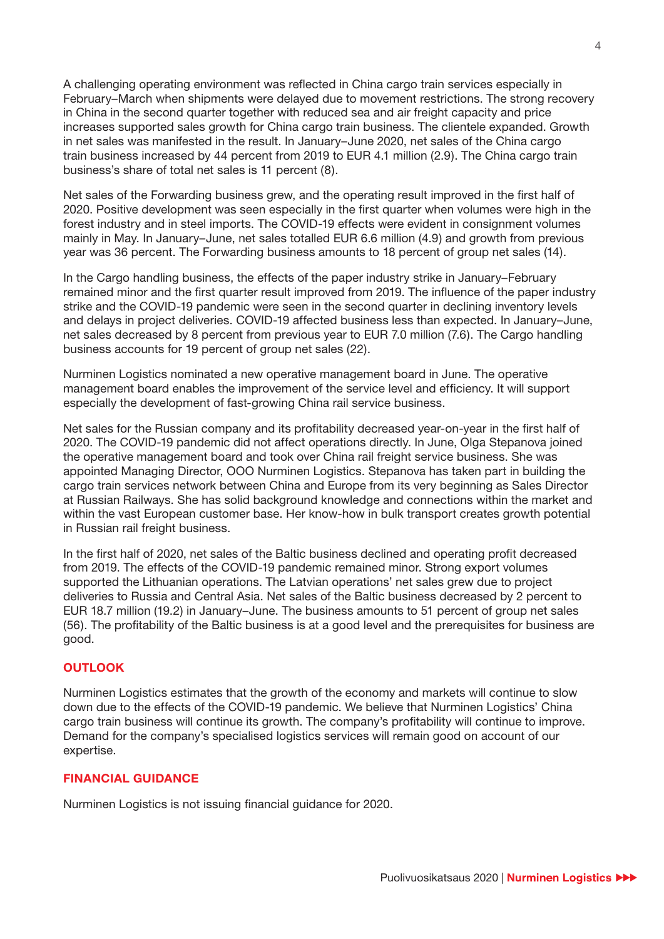A challenging operating environment was reflected in China cargo train services especially in February–March when shipments were delayed due to movement restrictions. The strong recovery in China in the second quarter together with reduced sea and air freight capacity and price increases supported sales growth for China cargo train business. The clientele expanded. Growth in net sales was manifested in the result. In January–June 2020, net sales of the China cargo train business increased by 44 percent from 2019 to EUR 4.1 million (2.9). The China cargo train business's share of total net sales is 11 percent (8).

Net sales of the Forwarding business grew, and the operating result improved in the first half of 2020. Positive development was seen especially in the first quarter when volumes were high in the forest industry and in steel imports. The COVID-19 effects were evident in consignment volumes mainly in May. In January–June, net sales totalled EUR 6.6 million (4.9) and growth from previous year was 36 percent. The Forwarding business amounts to 18 percent of group net sales (14).

In the Cargo handling business, the effects of the paper industry strike in January–February remained minor and the first quarter result improved from 2019. The influence of the paper industry strike and the COVID-19 pandemic were seen in the second quarter in declining inventory levels and delays in project deliveries. COVID-19 affected business less than expected. In January–June, net sales decreased by 8 percent from previous year to EUR 7.0 million (7.6). The Cargo handling business accounts for 19 percent of group net sales (22).

Nurminen Logistics nominated a new operative management board in June. The operative management board enables the improvement of the service level and efficiency. It will support especially the development of fast-growing China rail service business.

Net sales for the Russian company and its profitability decreased year-on-year in the first half of 2020. The COVID-19 pandemic did not affect operations directly. In June, Olga Stepanova joined the operative management board and took over China rail freight service business. She was appointed Managing Director, OOO Nurminen Logistics. Stepanova has taken part in building the cargo train services network between China and Europe from its very beginning as Sales Director at Russian Railways. She has solid background knowledge and connections within the market and within the vast European customer base. Her know-how in bulk transport creates growth potential in Russian rail freight business.

In the first half of 2020, net sales of the Baltic business declined and operating profit decreased from 2019. The effects of the COVID-19 pandemic remained minor. Strong export volumes supported the Lithuanian operations. The Latvian operations' net sales grew due to project deliveries to Russia and Central Asia. Net sales of the Baltic business decreased by 2 percent to EUR 18.7 million (19.2) in January–June. The business amounts to 51 percent of group net sales (56). The profitability of the Baltic business is at a good level and the prerequisites for business are good.

## **OUTLOOK**

Nurminen Logistics estimates that the growth of the economy and markets will continue to slow down due to the effects of the COVID-19 pandemic. We believe that Nurminen Logistics' China cargo train business will continue its growth. The company's profitability will continue to improve. Demand for the company's specialised logistics services will remain good on account of our expertise.

## **FINANCIAL GUIDANCE**

Nurminen Logistics is not issuing financial guidance for 2020.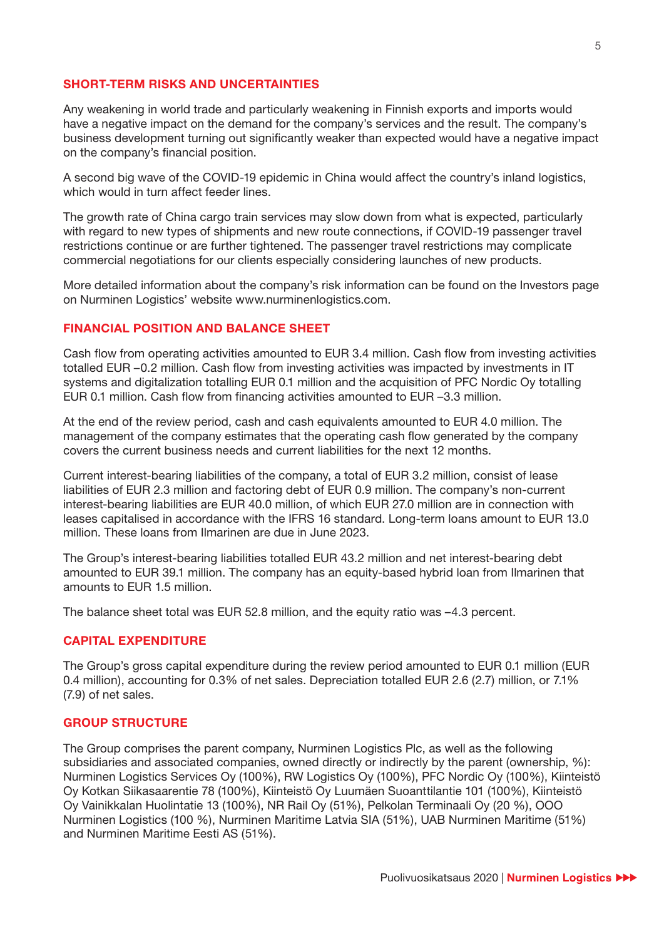#### **SHORT-TERM RISKS AND UNCERTAINTIES**

Any weakening in world trade and particularly weakening in Finnish exports and imports would have a negative impact on the demand for the company's services and the result. The company's business development turning out significantly weaker than expected would have a negative impact on the company's financial position.

A second big wave of the COVID-19 epidemic in China would affect the country's inland logistics, which would in turn affect feeder lines.

The growth rate of China cargo train services may slow down from what is expected, particularly with regard to new types of shipments and new route connections, if COVID-19 passenger travel restrictions continue or are further tightened. The passenger travel restrictions may complicate commercial negotiations for our clients especially considering launches of new products.

More detailed information about the company's risk information can be found on the Investors page on Nurminen Logistics' website www.nurminenlogistics.com.

#### **FINANCIAL POSITION AND BALANCE SHEET**

Cash flow from operating activities amounted to EUR 3.4 million. Cash flow from investing activities totalled EUR –0.2 million. Cash flow from investing activities was impacted by investments in IT systems and digitalization totalling EUR 0.1 million and the acquisition of PFC Nordic Oy totalling EUR 0.1 million. Cash flow from financing activities amounted to EUR –3.3 million.

At the end of the review period, cash and cash equivalents amounted to EUR 4.0 million. The management of the company estimates that the operating cash flow generated by the company covers the current business needs and current liabilities for the next 12 months.

Current interest-bearing liabilities of the company, a total of EUR 3.2 million, consist of lease liabilities of EUR 2.3 million and factoring debt of EUR 0.9 million. The company's non-current interest-bearing liabilities are EUR 40.0 million, of which EUR 27.0 million are in connection with leases capitalised in accordance with the IFRS 16 standard. Long-term loans amount to EUR 13.0 million. These loans from Ilmarinen are due in June 2023.

The Group's interest-bearing liabilities totalled EUR 43.2 million and net interest-bearing debt amounted to EUR 39.1 million. The company has an equity-based hybrid loan from Ilmarinen that amounts to EUR 1.5 million.

The balance sheet total was EUR 52.8 million, and the equity ratio was –4.3 percent.

#### **CAPITAL EXPENDITURE**

The Group's gross capital expenditure during the review period amounted to EUR 0.1 million (EUR 0.4 million), accounting for 0.3% of net sales. Depreciation totalled EUR 2.6 (2.7) million, or 7.1% (7.9) of net sales.

#### **GROUP STRUCTURE**

The Group comprises the parent company, Nurminen Logistics Plc, as well as the following subsidiaries and associated companies, owned directly or indirectly by the parent (ownership, %): Nurminen Logistics Services Oy (100%), RW Logistics Oy (100%), PFC Nordic Oy (100%), Kiinteistö Oy Kotkan Siikasaarentie 78 (100%), Kiinteistö Oy Luumäen Suoanttilantie 101 (100%), Kiinteistö Oy Vainikkalan Huolintatie 13 (100%), NR Rail Oy (51%), Pelkolan Terminaali Oy (20 %), OOO Nurminen Logistics (100 %), Nurminen Maritime Latvia SIA (51%), UAB Nurminen Maritime (51%) and Nurminen Maritime Eesti AS (51%).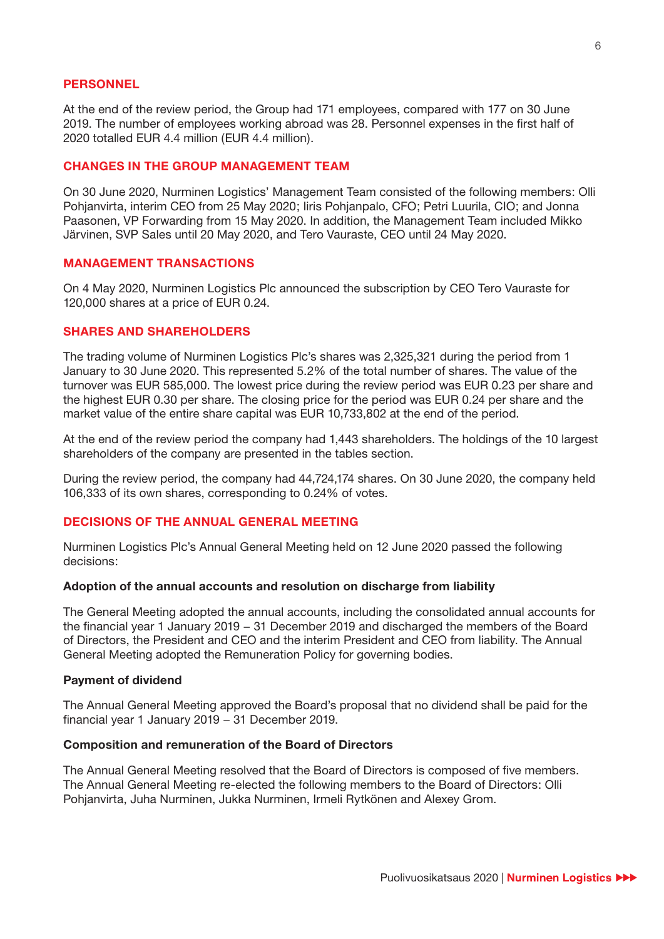#### **PERSONNEL**

At the end of the review period, the Group had 171 employees, compared with 177 on 30 June 2019. The number of employees working abroad was 28. Personnel expenses in the first half of 2020 totalled EUR 4.4 million (EUR 4.4 million).

#### **CHANGES IN THE GROUP MANAGEMENT TEAM**

On 30 June 2020, Nurminen Logistics' Management Team consisted of the following members: Olli Pohjanvirta, interim CEO from 25 May 2020; Iiris Pohjanpalo, CFO; Petri Luurila, CIO; and Jonna Paasonen, VP Forwarding from 15 May 2020. In addition, the Management Team included Mikko Järvinen, SVP Sales until 20 May 2020, and Tero Vauraste, CEO until 24 May 2020.

#### **MANAGEMENT TRANSACTIONS**

On 4 May 2020, Nurminen Logistics Plc announced the subscription by CEO Tero Vauraste for 120,000 shares at a price of EUR 0.24.

#### **SHARES AND SHAREHOLDERS**

The trading volume of Nurminen Logistics Plc's shares was 2,325,321 during the period from 1 January to 30 June 2020. This represented 5.2% of the total number of shares. The value of the turnover was EUR 585,000. The lowest price during the review period was EUR 0.23 per share and the highest EUR 0.30 per share. The closing price for the period was EUR 0.24 per share and the market value of the entire share capital was EUR 10,733,802 at the end of the period.

At the end of the review period the company had 1,443 shareholders. The holdings of the 10 largest shareholders of the company are presented in the tables section.

During the review period, the company had 44,724,174 shares. On 30 June 2020, the company held 106,333 of its own shares, corresponding to 0.24% of votes.

## **DECISIONS OF THE ANNUAL GENERAL MEETING**

Nurminen Logistics Plc's Annual General Meeting held on 12 June 2020 passed the following decisions:

#### **Adoption of the annual accounts and resolution on discharge from liability**

The General Meeting adopted the annual accounts, including the consolidated annual accounts for the financial year 1 January 2019 − 31 December 2019 and discharged the members of the Board of Directors, the President and CEO and the interim President and CEO from liability. The Annual General Meeting adopted the Remuneration Policy for governing bodies.

#### **Payment of dividend**

The Annual General Meeting approved the Board's proposal that no dividend shall be paid for the financial year 1 January 2019 − 31 December 2019.

#### **Composition and remuneration of the Board of Directors**

The Annual General Meeting resolved that the Board of Directors is composed of five members. The Annual General Meeting re-elected the following members to the Board of Directors: Olli Pohjanvirta, Juha Nurminen, Jukka Nurminen, Irmeli Rytkönen and Alexey Grom.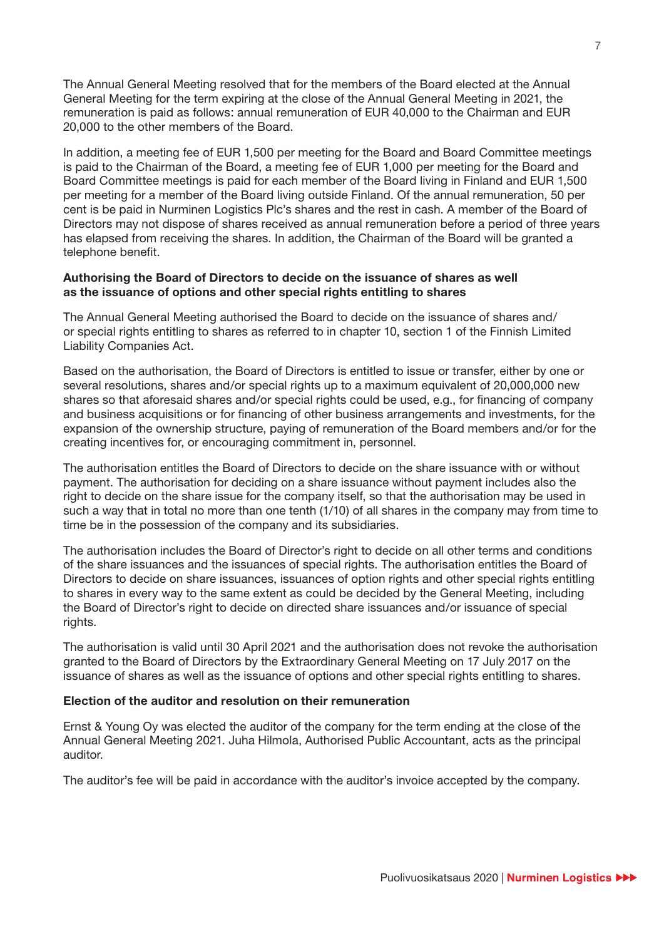The Annual General Meeting resolved that for the members of the Board elected at the Annual General Meeting for the term expiring at the close of the Annual General Meeting in 2021, the remuneration is paid as follows: annual remuneration of EUR 40,000 to the Chairman and EUR 20,000 to the other members of the Board.

In addition, a meeting fee of EUR 1,500 per meeting for the Board and Board Committee meetings is paid to the Chairman of the Board, a meeting fee of EUR 1,000 per meeting for the Board and Board Committee meetings is paid for each member of the Board living in Finland and EUR 1,500 per meeting for a member of the Board living outside Finland. Of the annual remuneration, 50 per cent is be paid in Nurminen Logistics Plc's shares and the rest in cash. A member of the Board of Directors may not dispose of shares received as annual remuneration before a period of three years has elapsed from receiving the shares. In addition, the Chairman of the Board will be granted a telephone benefit.

#### **Authorising the Board of Directors to decide on the issuance of shares as well as the issuance of options and other special rights entitling to shares**

The Annual General Meeting authorised the Board to decide on the issuance of shares and/ or special rights entitling to shares as referred to in chapter 10, section 1 of the Finnish Limited Liability Companies Act.

Based on the authorisation, the Board of Directors is entitled to issue or transfer, either by one or several resolutions, shares and/or special rights up to a maximum equivalent of 20,000,000 new shares so that aforesaid shares and/or special rights could be used, e.g., for financing of company and business acquisitions or for financing of other business arrangements and investments, for the expansion of the ownership structure, paying of remuneration of the Board members and/or for the creating incentives for, or encouraging commitment in, personnel.

The authorisation entitles the Board of Directors to decide on the share issuance with or without payment. The authorisation for deciding on a share issuance without payment includes also the right to decide on the share issue for the company itself, so that the authorisation may be used in such a way that in total no more than one tenth (1/10) of all shares in the company may from time to time be in the possession of the company and its subsidiaries.

The authorisation includes the Board of Director's right to decide on all other terms and conditions of the share issuances and the issuances of special rights. The authorisation entitles the Board of Directors to decide on share issuances, issuances of option rights and other special rights entitling to shares in every way to the same extent as could be decided by the General Meeting, including the Board of Director's right to decide on directed share issuances and/or issuance of special rights.

The authorisation is valid until 30 April 2021 and the authorisation does not revoke the authorisation granted to the Board of Directors by the Extraordinary General Meeting on 17 July 2017 on the issuance of shares as well as the issuance of options and other special rights entitling to shares.

#### **Election of the auditor and resolution on their remuneration**

Ernst & Young Oy was elected the auditor of the company for the term ending at the close of the Annual General Meeting 2021. Juha Hilmola, Authorised Public Accountant, acts as the principal auditor.

The auditor's fee will be paid in accordance with the auditor's invoice accepted by the company.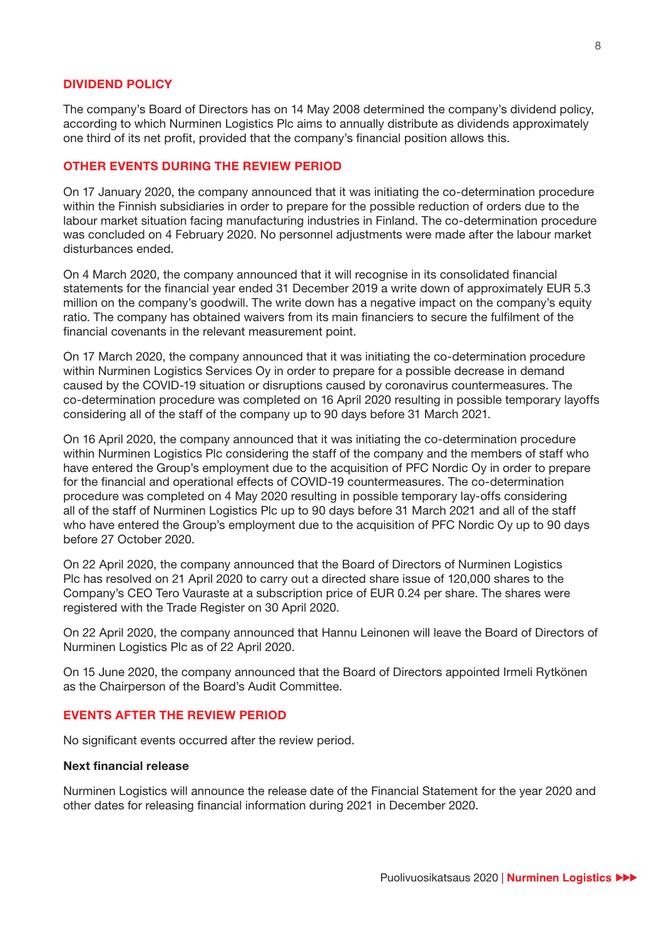#### **DIVIDEND POLICY**

The company's Board of Directors has on 14 May 2008 determined the company's dividend policy, according to which Nurminen Logistics Plc aims to annually distribute as dividends approximately one third of its net profit, provided that the company's financial position allows this.

#### **OTHER EVENTS DURING THE REVIEW PERIOD**

On 17 January 2020, the company announced that it was initiating the co-determination procedure within the Finnish subsidiaries in order to prepare for the possible reduction of orders due to the labour market situation facing manufacturing industries in Finland. The co-determination procedure was concluded on 4 February 2020. No personnel adjustments were made after the labour market disturbances ended.

On 4 March 2020, the company announced that it will recognise in its consolidated financial statements for the financial year ended 31 December 2019 a write down of approximately EUR 5.3 million on the company's goodwill. The write down has a negative impact on the company's equity ratio. The company has obtained waivers from its main financiers to secure the fulfilment of the financial covenants in the relevant measurement point.

On 17 March 2020, the company announced that it was initiating the co-determination procedure within Nurminen Logistics Services Oy in order to prepare for a possible decrease in demand caused by the COVID-19 situation or disruptions caused by coronavirus countermeasures. The co-determination procedure was completed on 16 April 2020 resulting in possible temporary layoffs considering all of the staff of the company up to 90 days before 31 March 2021.

On 16 April 2020, the company announced that it was initiating the co-determination procedure within Nurminen Logistics Plc considering the staff of the company and the members of staff who have entered the Group's employment due to the acquisition of PFC Nordic Oy in order to prepare for the financial and operational effects of COVID-19 countermeasures. The co-determination procedure was completed on 4 May 2020 resulting in possible temporary lay-offs considering all of the staff of Nurminen Logistics Plc up to 90 days before 31 March 2021 and all of the staff who have entered the Group's employment due to the acquisition of PFC Nordic Oy up to 90 days before 27 October 2020.

On 22 April 2020, the company announced that the Board of Directors of Nurminen Logistics Plc has resolved on 21 April 2020 to carry out a directed share issue of 120,000 shares to the Company's CEO Tero Vauraste at a subscription price of EUR 0.24 per share. The shares were registered with the Trade Register on 30 April 2020.

On 22 April 2020, the company announced that Hannu Leinonen will leave the Board of Directors of Nurminen Logistics Plc as of 22 April 2020.

On 15 June 2020, the company announced that the Board of Directors appointed Irmeli Rytkönen as the Chairperson of the Board's Audit Committee.

## **EVENTS AFTER THE REVIEW PERIOD**

No significant events occurred after the review period.

#### **Next financial release**

Nurminen Logistics will announce the release date of the Financial Statement for the year 2020 and other dates for releasing financial information during 2021 in December 2020.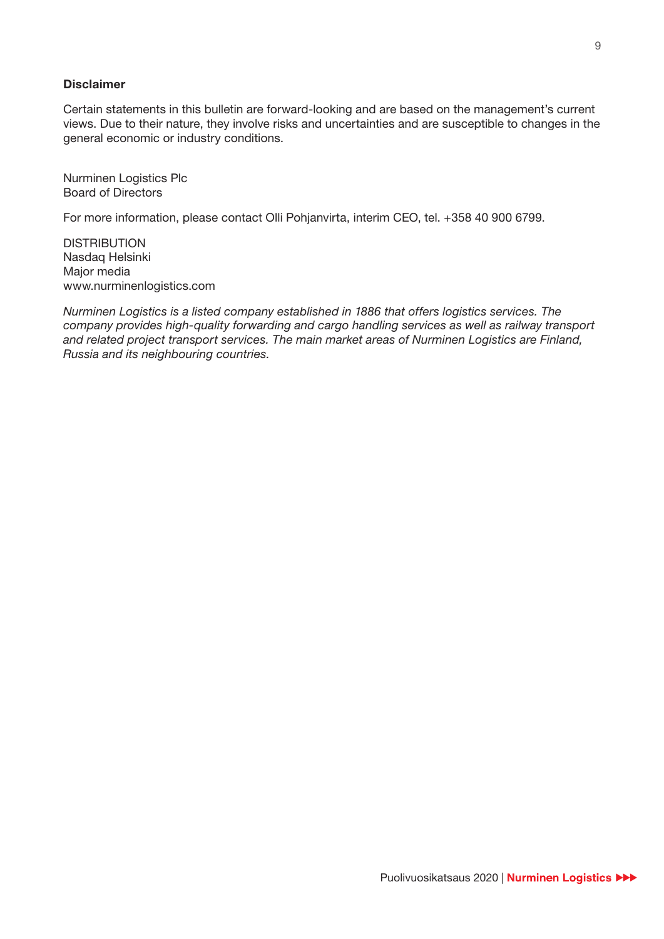#### **Disclaimer**

Certain statements in this bulletin are forward-looking and are based on the management's current views. Due to their nature, they involve risks and uncertainties and are susceptible to changes in the general economic or industry conditions.

Nurminen Logistics Plc Board of Directors

For more information, please contact Olli Pohjanvirta, interim CEO, tel. +358 40 900 6799.

DISTRIBUTION Nasdaq Helsinki Major media www.nurminenlogistics.com

*Nurminen Logistics is a listed company established in 1886 that offers logistics services. The company provides high-quality forwarding and cargo handling services as well as railway transport and related project transport services. The main market areas of Nurminen Logistics are Finland, Russia and its neighbouring countries.*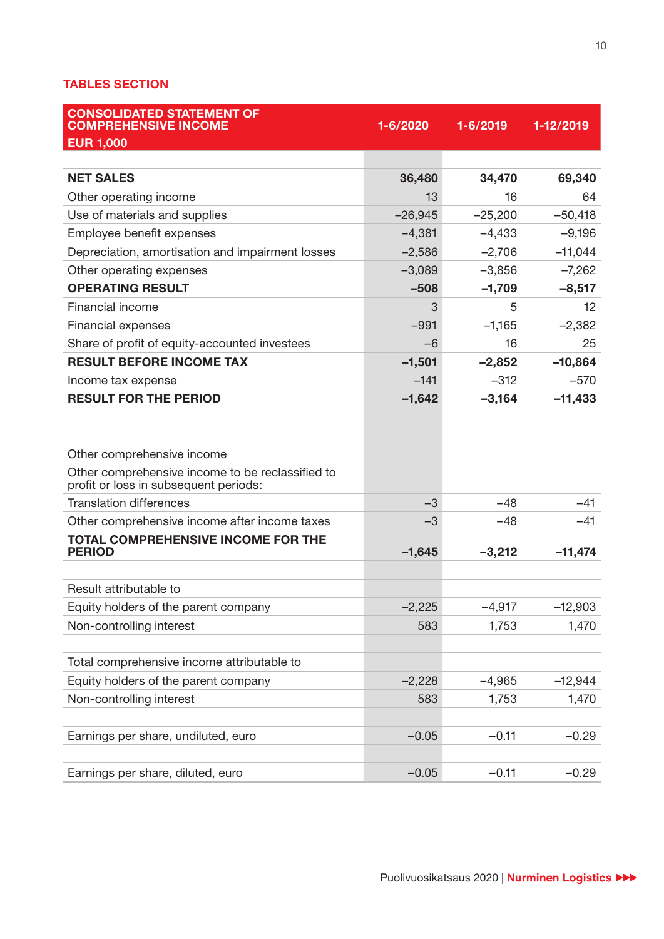## **TABLES SECTION**

| <b>CONSOLIDATED STATEMENT OF</b><br><b>COMPREHENSIVE INCOME</b>                           | 1-6/2020  | 1-6/2019  | 1-12/2019 |
|-------------------------------------------------------------------------------------------|-----------|-----------|-----------|
| <b>EUR 1,000</b>                                                                          |           |           |           |
| <b>NET SALES</b>                                                                          | 36,480    | 34,470    | 69,340    |
| Other operating income                                                                    | 13        | 16        | 64        |
| Use of materials and supplies                                                             | $-26,945$ | $-25,200$ | $-50,418$ |
| Employee benefit expenses                                                                 | $-4,381$  | $-4,433$  | $-9,196$  |
| Depreciation, amortisation and impairment losses                                          | $-2,586$  | $-2,706$  | $-11,044$ |
| Other operating expenses                                                                  | $-3,089$  | $-3,856$  | $-7,262$  |
| <b>OPERATING RESULT</b>                                                                   | $-508$    | $-1,709$  | $-8,517$  |
| <b>Financial income</b>                                                                   | 3         | 5         | 12        |
| <b>Financial expenses</b>                                                                 | $-991$    | $-1,165$  | $-2,382$  |
| Share of profit of equity-accounted investees                                             | $-6$      | 16        | 25        |
| <b>RESULT BEFORE INCOME TAX</b>                                                           | $-1,501$  | $-2,852$  | $-10,864$ |
| Income tax expense                                                                        | $-141$    | $-312$    | $-570$    |
| <b>RESULT FOR THE PERIOD</b>                                                              | $-1,642$  | $-3,164$  | $-11,433$ |
|                                                                                           |           |           |           |
|                                                                                           |           |           |           |
| Other comprehensive income                                                                |           |           |           |
| Other comprehensive income to be reclassified to<br>profit or loss in subsequent periods: |           |           |           |
| <b>Translation differences</b>                                                            | $-3$      | $-48$     | $-41$     |
| Other comprehensive income after income taxes                                             | $-3$      | $-48$     | $-41$     |
| <b>TOTAL COMPREHENSIVE INCOME FOR THE</b><br><b>PERIOD</b>                                | $-1,645$  | $-3,212$  | $-11,474$ |
|                                                                                           |           |           |           |
| Result attributable to                                                                    |           |           |           |
| Equity holders of the parent company                                                      | $-2,225$  | $-4,917$  | $-12,903$ |
| Non-controlling interest                                                                  | 583       | 1,753     | 1,470     |
|                                                                                           |           |           |           |
| Total comprehensive income attributable to                                                |           |           |           |
| Equity holders of the parent company                                                      | $-2,228$  | $-4,965$  | $-12,944$ |
| Non-controlling interest                                                                  | 583       | 1,753     | 1,470     |
|                                                                                           |           |           |           |
| Earnings per share, undiluted, euro                                                       | $-0.05$   | $-0.11$   | $-0.29$   |
|                                                                                           |           |           |           |
| Earnings per share, diluted, euro                                                         | $-0.05$   | $-0.11$   | $-0.29$   |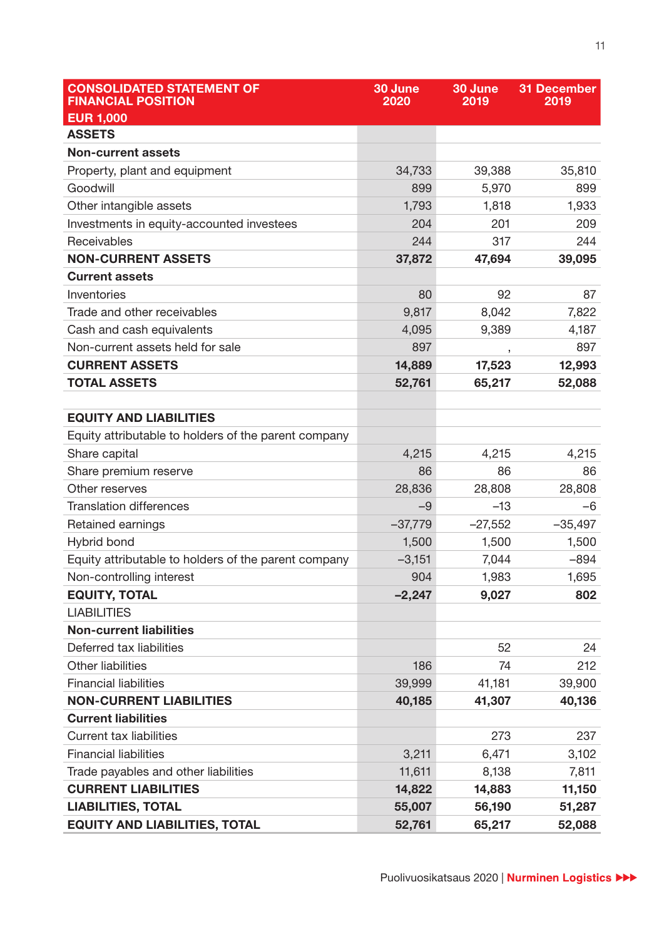| <b>CONSOLIDATED STATEMENT OF</b><br><b>FINANCIAL POSITION</b> | 30 June<br>2020 | 30 June<br>2019 | <b>31 December</b><br>2019 |
|---------------------------------------------------------------|-----------------|-----------------|----------------------------|
| <b>EUR 1,000</b>                                              |                 |                 |                            |
| <b>ASSETS</b>                                                 |                 |                 |                            |
| <b>Non-current assets</b>                                     |                 |                 |                            |
| Property, plant and equipment                                 | 34,733          | 39,388          | 35,810                     |
| Goodwill                                                      | 899             | 5,970           | 899                        |
| Other intangible assets                                       | 1,793           | 1,818           | 1,933                      |
| Investments in equity-accounted investees                     | 204             | 201             | 209                        |
| Receivables                                                   | 244             | 317             | 244                        |
| <b>NON-CURRENT ASSETS</b>                                     | 37,872          | 47,694          | 39,095                     |
| <b>Current assets</b>                                         |                 |                 |                            |
| Inventories                                                   | 80              | 92              | 87                         |
| Trade and other receivables                                   | 9,817           | 8,042           | 7,822                      |
| Cash and cash equivalents                                     | 4,095           | 9,389           | 4,187                      |
| Non-current assets held for sale                              | 897             | $\,$            | 897                        |
| <b>CURRENT ASSETS</b>                                         | 14,889          | 17,523          | 12,993                     |
| <b>TOTAL ASSETS</b>                                           | 52,761          | 65,217          | 52,088                     |
|                                                               |                 |                 |                            |
| <b>EQUITY AND LIABILITIES</b>                                 |                 |                 |                            |
| Equity attributable to holders of the parent company          |                 |                 |                            |
| Share capital                                                 | 4,215           | 4,215           | 4,215                      |
| Share premium reserve                                         | 86              | 86              | 86                         |
| Other reserves                                                | 28,836          | 28,808          | 28,808                     |
| <b>Translation differences</b>                                | $-9$            | $-13$           | -6                         |
| Retained earnings                                             | $-37,779$       | $-27,552$       | $-35,497$                  |
| Hybrid bond                                                   | 1,500           | 1,500           | 1,500                      |
| Equity attributable to holders of the parent company          | $-3,151$        | 7,044           | $-894$                     |
| Non-controlling interest                                      | 904             | 1,983           | 1,695                      |
| <b>EQUITY, TOTAL</b>                                          | $-2,247$        | 9,027           | 802                        |
| <b>LIABILITIES</b>                                            |                 |                 |                            |
| <b>Non-current liabilities</b>                                |                 |                 |                            |
| Deferred tax liabilities                                      |                 | 52              | 24                         |
| <b>Other liabilities</b>                                      | 186             | 74              | 212                        |
| <b>Financial liabilities</b>                                  | 39,999          | 41,181          | 39,900                     |
| <b>NON-CURRENT LIABILITIES</b>                                | 40,185          | 41,307          | 40,136                     |
| <b>Current liabilities</b>                                    |                 |                 |                            |
| <b>Current tax liabilities</b>                                |                 | 273             | 237                        |
| <b>Financial liabilities</b>                                  | 3,211           | 6,471           | 3,102                      |
| Trade payables and other liabilities                          | 11,611          | 8,138           | 7,811                      |
| <b>CURRENT LIABILITIES</b>                                    | 14,822          | 14,883          | 11,150                     |
| <b>LIABILITIES, TOTAL</b>                                     | 55,007          | 56,190          | 51,287                     |
| <b>EQUITY AND LIABILITIES, TOTAL</b>                          | 52,761          | 65,217          | 52,088                     |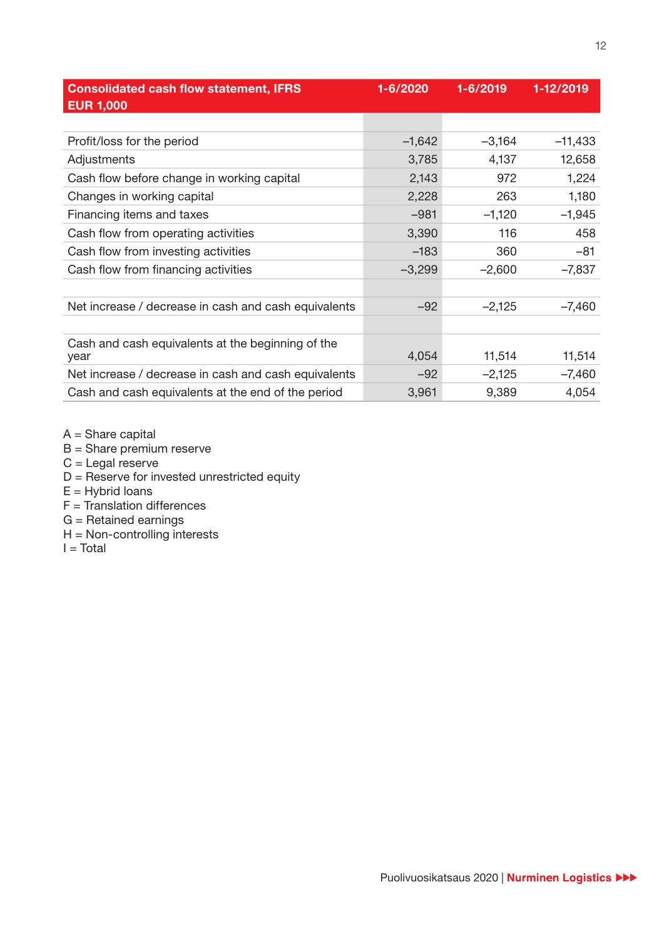| <b>Consolidated cash flow statement, IFRS</b><br><b>EUR 1,000</b> | 1-6/2020 | 1-6/2019 | 1-12/2019 |
|-------------------------------------------------------------------|----------|----------|-----------|
|                                                                   |          |          |           |
| Profit/loss for the period                                        | $-1,642$ | $-3,164$ | $-11,433$ |
| Adjustments                                                       | 3,785    | 4,137    | 12,658    |
| Cash flow before change in working capital                        | 2,143    | 972      | 1,224     |
| Changes in working capital                                        | 2,228    | 263      | 1,180     |
| Financing items and taxes                                         | $-981$   | $-1,120$ | $-1,945$  |
| Cash flow from operating activities                               | 3,390    | 116      | 458       |
| Cash flow from investing activities                               | $-183$   | 360      | $-81$     |
| Cash flow from financing activities                               | $-3,299$ | $-2,600$ | $-7,837$  |
|                                                                   |          |          |           |
| Net increase / decrease in cash and cash equivalents              | $-92$    | $-2,125$ | $-7,460$  |
|                                                                   |          |          |           |
| Cash and cash equivalents at the beginning of the<br>year         | 4,054    | 11,514   | 11,514    |
| Net increase / decrease in cash and cash equivalents              | $-92$    | $-2,125$ | $-7,460$  |
| Cash and cash equivalents at the end of the period                | 3,961    | 9,389    | 4,054     |

- $A =$ Share capital
- B = Share premium reserve
- $C =$  Legal reserve
- D = Reserve for invested unrestricted equity
- $E =$  Hybrid loans
- F = Translation differences
- G = Retained earnings
- $H = Non-contrelling$  interests
- $I = Total$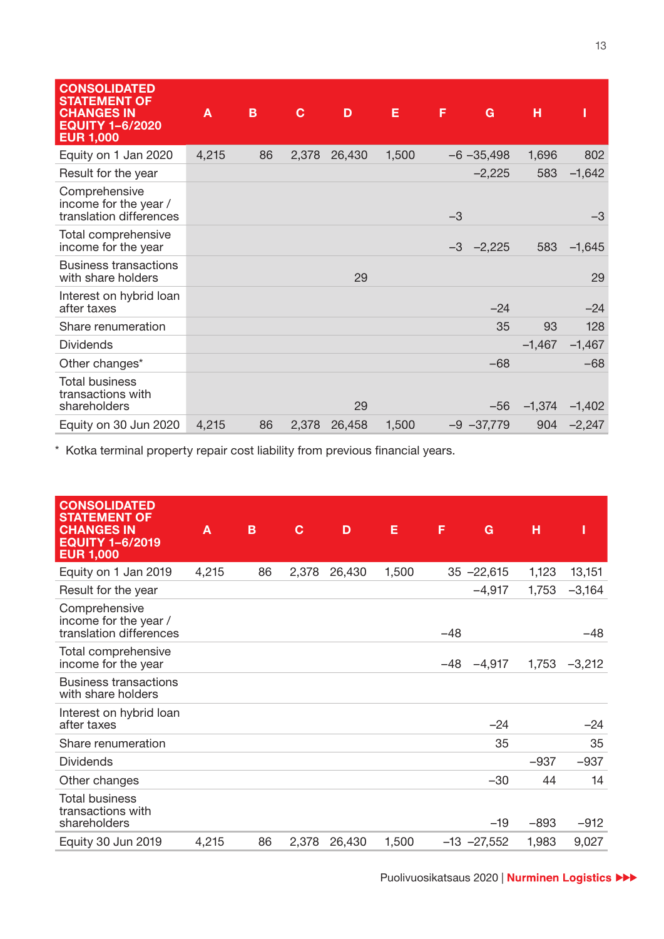| <b>CONSOLIDATED</b><br><b>STATEMENT OF</b><br><b>CHANGES IN</b><br><b>EQUITY 1-6/2020</b><br><b>EUR 1,000</b> | A     | B  | $\mathbf C$ | D      | E     | F    | G             | н        | ı            |
|---------------------------------------------------------------------------------------------------------------|-------|----|-------------|--------|-------|------|---------------|----------|--------------|
| Equity on 1 Jan 2020                                                                                          | 4,215 | 86 | 2,378       | 26,430 | 1,500 |      | $-6 - 35,498$ | 1,696    | 802          |
| Result for the year                                                                                           |       |    |             |        |       |      | $-2,225$      | 583      | $-1,642$     |
| Comprehensive<br>income for the year /<br>translation differences                                             |       |    |             |        |       | $-3$ |               |          | -3           |
| Total comprehensive<br>income for the year                                                                    |       |    |             |        |       | $-3$ | $-2,225$      | 583      | $-1,645$     |
| <b>Business transactions</b><br>with share holders                                                            |       |    |             | 29     |       |      |               |          | 29           |
| Interest on hybrid loan<br>after taxes                                                                        |       |    |             |        |       |      | $-24$         |          | $-24$        |
| Share renumeration                                                                                            |       |    |             |        |       |      | 35            | 93       | 128          |
| <b>Dividends</b>                                                                                              |       |    |             |        |       |      |               | $-1,467$ | $-1,467$     |
| Other changes*                                                                                                |       |    |             |        |       |      | $-68$         |          | $-68$        |
| <b>Total business</b><br>transactions with<br>shareholders                                                    |       |    |             | 29     |       |      | $-56$         | $-1,374$ | $-1,402$     |
| Equity on 30 Jun 2020                                                                                         | 4,215 | 86 | 2,378       | 26,458 | 1,500 |      | $-9 - 37,779$ |          | $904 -2,247$ |

\* Kotka terminal property repair cost liability from previous financial years.

| <b>CONSOLIDATED</b><br><b>STATEMENT OF</b><br><b>CHANGES IN</b><br><b>EQUITY 1-6/2019</b><br><b>EUR 1,000</b> | $\overline{A}$ | B  | $\mathbf C$ | D      | E     | F             | н<br>G   | I                 |
|---------------------------------------------------------------------------------------------------------------|----------------|----|-------------|--------|-------|---------------|----------|-------------------|
| Equity on 1 Jan 2019                                                                                          | 4,215          | 86 | 2,378       | 26,430 | 1,500 | $35 - 22,615$ |          | 1,123<br>13,151   |
| Result for the year                                                                                           |                |    |             |        |       |               | $-4,917$ | $-3,164$<br>1,753 |
| Comprehensive<br>income for the year /<br>translation differences                                             |                |    |             |        |       | $-48$         |          | -48               |
| Total comprehensive<br>income for the year                                                                    |                |    |             |        |       | $-48$         | $-4,917$ | 1,753<br>$-3,212$ |
| <b>Business transactions</b><br>with share holders                                                            |                |    |             |        |       |               |          |                   |
| Interest on hybrid loan<br>after taxes                                                                        |                |    |             |        |       |               | $-24$    | -24               |
| Share renumeration                                                                                            |                |    |             |        |       |               | 35       | 35                |
| <b>Dividends</b>                                                                                              |                |    |             |        |       |               |          | $-937$<br>$-937$  |
| Other changes                                                                                                 |                |    |             |        |       |               | $-30$    | 44<br>14          |
| Total business<br>transactions with<br>shareholders                                                           |                |    |             |        |       |               | -19      | $-893$<br>$-912$  |
| Equity 30 Jun 2019                                                                                            | 4,215          | 86 | 2,378       | 26,430 | 1,500 | $-13 -27,552$ |          | 9,027<br>1,983    |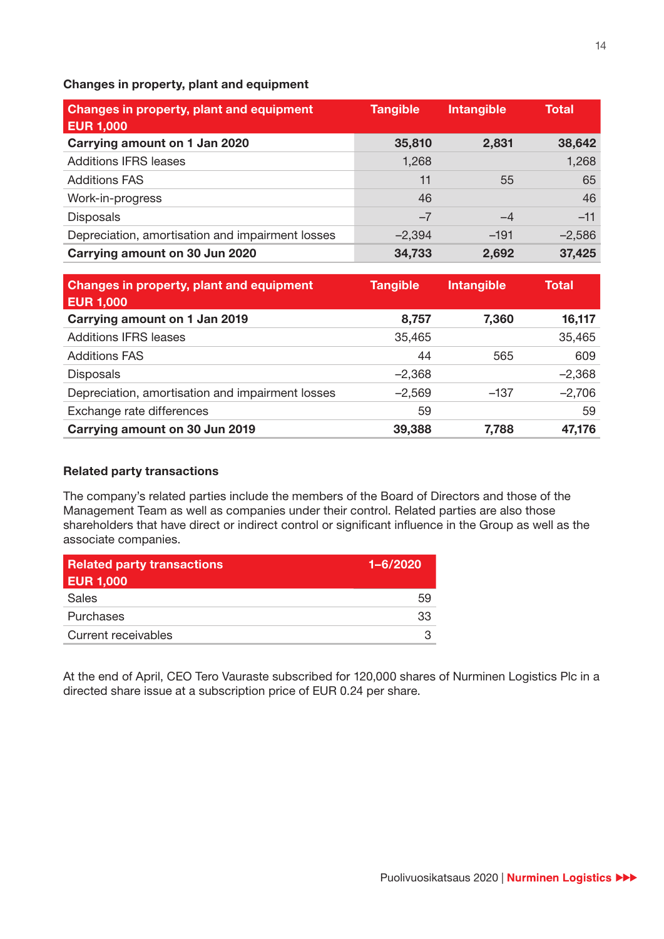#### **Changes in property, plant and equipment**

| <b>Changes in property, plant and equipment</b><br><b>EUR 1,000</b> | <b>Tangible</b> | <b>Intangible</b> | <b>Total</b> |
|---------------------------------------------------------------------|-----------------|-------------------|--------------|
| Carrying amount on 1 Jan 2020                                       | 35,810          | 2,831             | 38,642       |
| <b>Additions IFRS leases</b>                                        | 1,268           |                   | 1,268        |
| <b>Additions FAS</b>                                                | 11              | 55                | 65           |
| Work-in-progress                                                    | 46              |                   | 46           |
| <b>Disposals</b>                                                    | $-7$            | $-4$              | $-11$        |
| Depreciation, amortisation and impairment losses                    | $-2,394$        | $-191$            | $-2,586$     |
| Carrying amount on 30 Jun 2020                                      | 34,733          | 2,692             | 37,425       |

| Changes in property, plant and equipment<br><b>EUR 1,000</b> | <b>Tangible</b> | <b>Intangible</b> | <b>Total</b> |
|--------------------------------------------------------------|-----------------|-------------------|--------------|
| Carrying amount on 1 Jan 2019                                | 8,757           | 7,360             | 16,117       |
| <b>Additions IFRS leases</b>                                 | 35,465          |                   | 35,465       |
| <b>Additions FAS</b>                                         | 44              | 565               | 609          |
| <b>Disposals</b>                                             | $-2,368$        |                   | $-2,368$     |
| Depreciation, amortisation and impairment losses             | $-2,569$        | $-137$            | $-2,706$     |
| Exchange rate differences                                    | 59              |                   | 59           |
| Carrying amount on 30 Jun 2019                               | 39,388          | 7,788             | 47,176       |

## **Related party transactions**

The company's related parties include the members of the Board of Directors and those of the Management Team as well as companies under their control. Related parties are also those shareholders that have direct or indirect control or significant influence in the Group as well as the associate companies.

| <b>Related party transactions</b><br><b>EUR 1,000</b> | $1 - 6/2020$ |
|-------------------------------------------------------|--------------|
| Sales                                                 | 59           |
| Purchases                                             | 33           |
| <b>Current receivables</b>                            |              |

At the end of April, CEO Tero Vauraste subscribed for 120,000 shares of Nurminen Logistics Plc in a directed share issue at a subscription price of EUR 0.24 per share.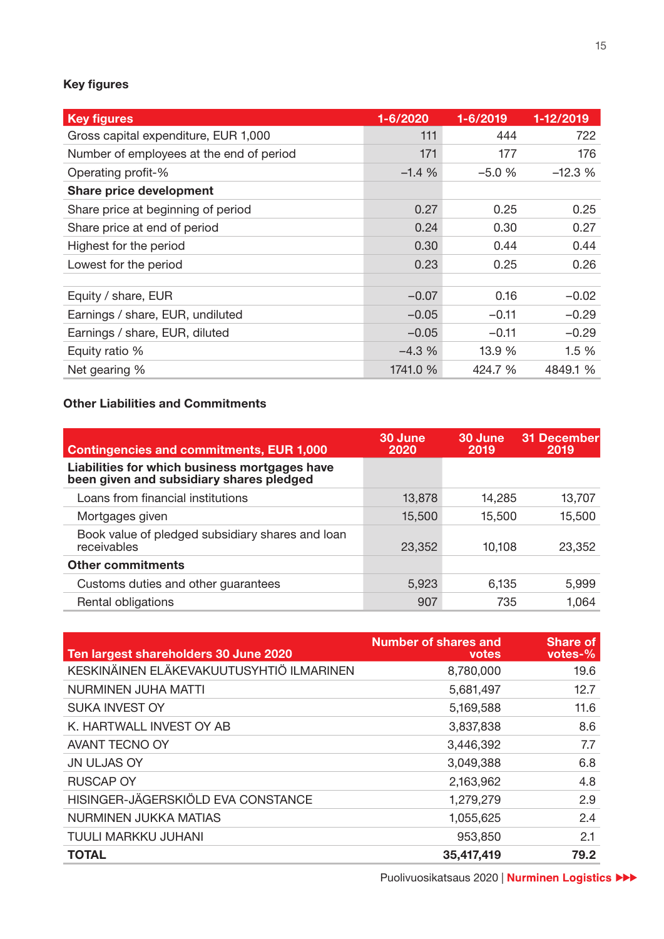# **Key figures**

| <b>Key figures</b>                       | 1-6/2020 | 1-6/2019 | 1-12/2019 |
|------------------------------------------|----------|----------|-----------|
| Gross capital expenditure, EUR 1,000     | 111      | 444      | 722       |
| Number of employees at the end of period | 171      | 177      | 176       |
| Operating profit-%                       | $-1.4%$  | $-5.0%$  | $-12.3%$  |
| <b>Share price development</b>           |          |          |           |
| Share price at beginning of period       | 0.27     | 0.25     | 0.25      |
| Share price at end of period             | 0.24     | 0.30     | 0.27      |
| Highest for the period                   | 0.30     | 0.44     | 0.44      |
| Lowest for the period                    | 0.23     | 0.25     | 0.26      |
|                                          |          |          |           |
| Equity / share, EUR                      | $-0.07$  | 0.16     | $-0.02$   |
| Earnings / share, EUR, undiluted         | $-0.05$  | $-0.11$  | $-0.29$   |
| Earnings / share, EUR, diluted           | $-0.05$  | $-0.11$  | $-0.29$   |
| Equity ratio %                           | $-4.3%$  | 13.9 %   | 1.5 %     |
| Net gearing %                            | 1741.0 % | 424.7 %  | 4849.1 %  |

## **Other Liabilities and Commitments**

| <b>Contingencies and commitments, EUR 1,000</b>                                           | 30 June<br>2020 | 30 June<br>2019 | 31 December<br>2019 |
|-------------------------------------------------------------------------------------------|-----------------|-----------------|---------------------|
| Liabilities for which business mortgages have<br>been given and subsidiary shares pledged |                 |                 |                     |
| Loans from financial institutions                                                         | 13,878          | 14,285          | 13,707              |
| Mortgages given                                                                           | 15,500          | 15,500          | 15,500              |
| Book value of pledged subsidiary shares and loan<br>receivables                           | 23,352          | 10,108          | 23,352              |
| <b>Other commitments</b>                                                                  |                 |                 |                     |
| Customs duties and other guarantees                                                       | 5,923           | 6,135           | 5,999               |
| Rental obligations                                                                        | 907             | 735             | 1,064               |

| Ten largest shareholders 30 June 2020    | <b>Number of shares and</b><br><b>votes</b> | <b>Share of</b><br>votes- $%$ |
|------------------------------------------|---------------------------------------------|-------------------------------|
| KESKINÄINEN ELÄKEVAKUUTUSYHTIÖ ILMARINEN | 8,780,000                                   | 19.6                          |
| NURMINEN JUHA MATTI                      | 5,681,497                                   | 12.7                          |
| <b>SUKA INVEST OY</b>                    | 5,169,588                                   | 11.6                          |
| K. HARTWALL INVEST OY AB                 | 3,837,838                                   | 8.6                           |
| <b>AVANT TECNO OY</b>                    | 3,446,392                                   | 7.7                           |
| <b>JN ULJAS OY</b>                       | 3,049,388                                   | 6.8                           |
| <b>RUSCAP OY</b>                         | 2,163,962                                   | 4.8                           |
| HISINGER-JÄGERSKIÖLD EVA CONSTANCE       | 1,279,279                                   | 2.9                           |
| NURMINEN JUKKA MATIAS                    | 1,055,625                                   | 2.4                           |
| TUULI MARKKU JUHANI                      | 953,850                                     | 2.1                           |
| <b>TOTAL</b>                             | 35,417,419                                  | 79.2                          |

Puolivuosikatsaus 2020 | Nurminen Logistics